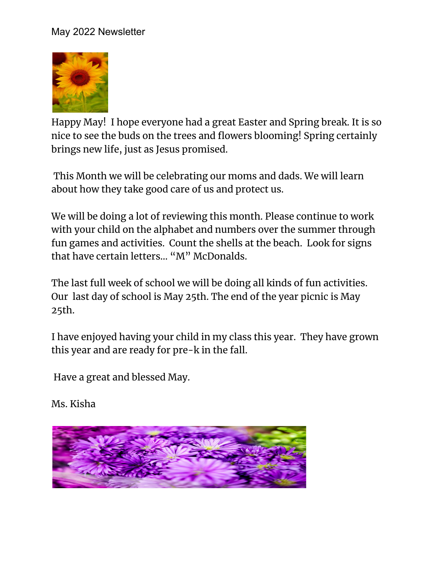## May 2022 Newsletter



Happy May! I hope everyone had a great Easter and Spring break. It is so nice to see the buds on the trees and flowers blooming! Spring certainly brings new life, just as Jesus promised.

This Month we will be celebrating our moms and dads. We will learn about how they take good care of us and protect us.

We will be doing a lot of reviewing this month. Please continue to work with your child on the alphabet and numbers over the summer through fun games and activities. Count the shells at the beach. Look for signs that have certain letters… "M" McDonalds.

The last full week of school we will be doing all kinds of fun activities. Our last day of school is May 25th. The end of the year picnic is May 25th.

I have enjoyed having your child in my class this year. They have grown this year and are ready for pre-k in the fall.

Have a great and blessed May.

Ms. Kisha

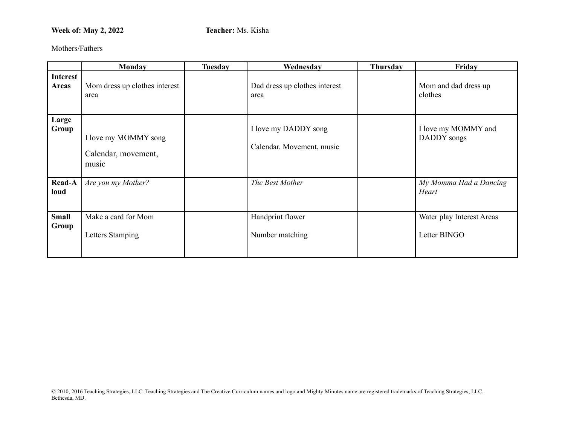## **Week of: May 2, 2022 Teacher:** Ms. Kisha

Mothers/Fathers

|                                 | Monday                                               | <b>Tuesday</b> | Wednesday                                         | <b>Thursday</b> | Friday                                    |
|---------------------------------|------------------------------------------------------|----------------|---------------------------------------------------|-----------------|-------------------------------------------|
| <b>Interest</b><br><b>Areas</b> | Mom dress up clothes interest<br>area                |                | Dad dress up clothes interest<br>area             |                 | Mom and dad dress up<br>clothes           |
| Large<br>Group                  | I love my MOMMY song<br>Calendar, movement,<br>music |                | I love my DADDY song<br>Calendar. Movement, music |                 | I love my MOMMY and<br>DADDY songs        |
| Read-A<br>loud                  | Are you my Mother?                                   |                | The Best Mother                                   |                 | My Momma Had a Dancing<br>Heart           |
| <b>Small</b><br>Group           | Make a card for Mom<br>Letters Stamping              |                | Handprint flower<br>Number matching               |                 | Water play Interest Areas<br>Letter BINGO |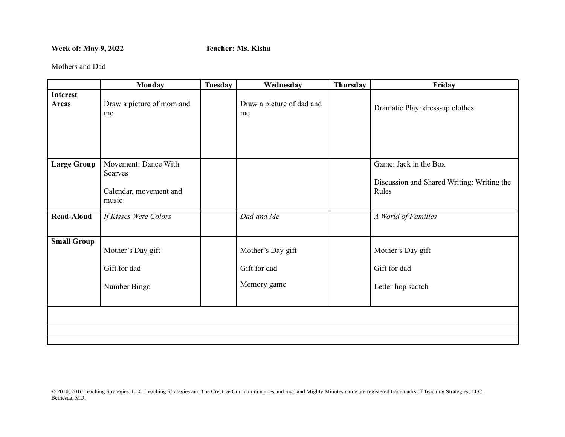## **Week of: May 9, 2022 Teacher: Ms. Kisha**

Mothers and Dad

|                                 | <b>Monday</b>                                                             | <b>Tuesday</b> | Wednesday                                        | Thursday | Friday                                                                       |
|---------------------------------|---------------------------------------------------------------------------|----------------|--------------------------------------------------|----------|------------------------------------------------------------------------------|
| <b>Interest</b><br><b>Areas</b> | Draw a picture of mom and<br>me                                           |                | Draw a picture of dad and<br>me                  |          | Dramatic Play: dress-up clothes                                              |
| <b>Large Group</b>              | Movement: Dance With<br><b>Scarves</b><br>Calendar, movement and<br>music |                |                                                  |          | Game: Jack in the Box<br>Discussion and Shared Writing: Writing the<br>Rules |
| <b>Read-Aloud</b>               | If Kisses Were Colors                                                     |                | Dad and Me                                       |          | A World of Families                                                          |
| <b>Small Group</b>              | Mother's Day gift<br>Gift for dad<br>Number Bingo                         |                | Mother's Day gift<br>Gift for dad<br>Memory game |          | Mother's Day gift<br>Gift for dad<br>Letter hop scotch                       |
|                                 |                                                                           |                |                                                  |          |                                                                              |
|                                 |                                                                           |                |                                                  |          |                                                                              |
|                                 |                                                                           |                |                                                  |          |                                                                              |

© 2010, 2016 Teaching Strategies, LLC. Teaching Strategies and The Creative Curriculum names and logo and Mighty Minutes name are registered trademarks of Teaching Strategies, LLC. Bethesda, MD.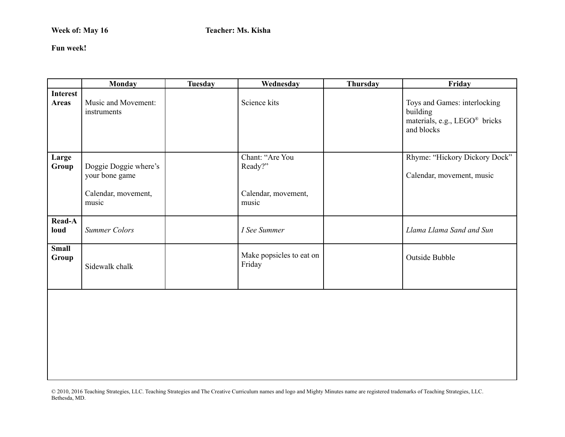**Fun week!**

|                                 | <b>Monday</b>                                                           | <b>Tuesday</b> | Wednesday                                                  | Thursday | Friday                                                                                              |
|---------------------------------|-------------------------------------------------------------------------|----------------|------------------------------------------------------------|----------|-----------------------------------------------------------------------------------------------------|
| <b>Interest</b><br><b>Areas</b> | Music and Movement:<br>instruments                                      |                | Science kits                                               |          | Toys and Games: interlocking<br>building<br>materials, e.g., LEGO <sup>®</sup> bricks<br>and blocks |
| Large<br>Group                  | Doggie Doggie where's<br>your bone game<br>Calendar, movement,<br>music |                | Chant: "Are You<br>Ready?"<br>Calendar, movement,<br>music |          | Rhyme: "Hickory Dickory Dock"<br>Calendar, movement, music                                          |
| <b>Read-A</b><br>loud           | <b>Summer Colors</b>                                                    |                | I See Summer                                               |          | Llama Llama Sand and Sun                                                                            |
| <b>Small</b><br>Group           | Sidewalk chalk                                                          |                | Make popsicles to eat on<br>Friday                         |          | Outside Bubble                                                                                      |
|                                 |                                                                         |                |                                                            |          |                                                                                                     |

© 2010, 2016 Teaching Strategies, LLC. Teaching Strategies and The Creative Curriculum names and logo and Mighty Minutes name are registered trademarks of Teaching Strategies, LLC. Bethesda, MD.